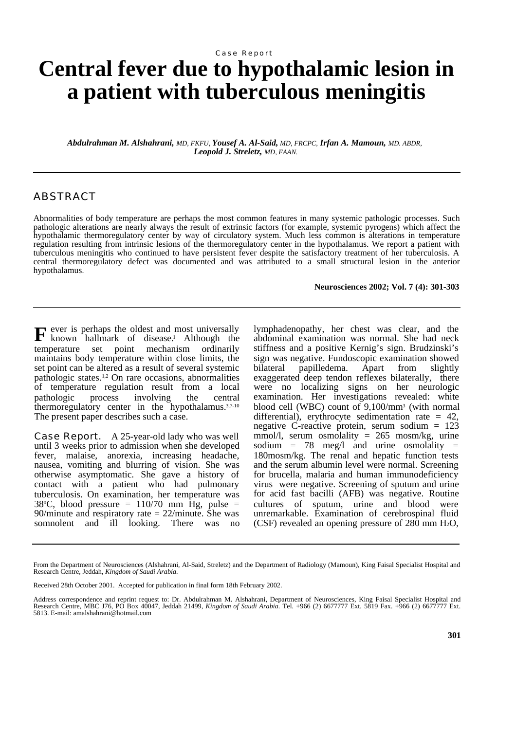### Case Report

# **Central fever due to hypothalamic lesion in a patient with tuberculous meningitis**

*Abdulrahman M. Alshahrani, MD, FKFU, Yousef A. Al-Said, MD, FRCPC, Irfan A. Mamoun, MD. ABDR, Leopold J. Streletz, MD, FAAN.*

# ABSTRACT

Abnormalities of body temperature are perhaps the most common features in many systemic pathologic processes. Such pathologic alterations are nearly always the result of extrinsic factors (for example, systemic pyrogens) which affect the hypothalamic thermoregulatory center by way of circulatory system. Much less common is alterations in temperature regulation resulting from intrinsic lesions of the thermoregulatory center in the hypothalamus. We report a patient with tuberculous meningitis who continued to have persistent fever despite the satisfactory treatment of her tuberculosis. A central thermoregulatory defect was documented and was attributed to a small structural lesion in the anterior hypothalamus.

#### **Neurosciences 2002; Vol. 7 (4): 301-303**

**F** ever is perhaps the oldest and most universally known hallmark of disease.<sup>1</sup> Although the known hallmark of disease.<sup>1</sup> Although the temperature set point mechanism ordinarily maintains body temperature within close limits, the set point can be altered as a result of several systemic pathologic states.1,2 On rare occasions, abnormalities of temperature regulation result from a local pathologic process involving the central thermoregulatory center in the hypothalamus.<sup>3,7-10</sup> The present paper describes such a case.

**Case Report.** A 25-year-old lady who was well until 3 weeks prior to admission when she developed fever, malaise, anorexia, increasing headache, nausea, vomiting and blurring of vision. She was otherwise asymptomatic. She gave a history of contact with a patient who had pulmonary tuberculosis. On examination, her temperature was  $38^{\circ}$ C, blood pressure = 110/70 mm Hg, pulse = 90/minute and respiratory rate  $= 22$ /minute. She was somnolent and ill looking. There was no

lymphadenopathy, her chest was clear, and the abdominal examination was normal. She had neck stiffness and a positive Kernig's sign. Brudzinski's sign was negative. Fundoscopic examination showed bilateral papilledema. Apart from slightly exaggerated deep tendon reflexes bilaterally, there were no localizing signs on her neurologic examination. Her investigations revealed: white blood cell (WBC) count of 9,100/mm<sup>3</sup> (with normal differential), erythrocyte sedimentation rate = 42, negative C-reactive protein, serum sodium = 123 mmol/l, serum osmolality = 265 mosm/kg, urine sodium =  $78 \text{ meg/l}$  and urine osmolality = 180mosm/kg. The renal and hepatic function tests and the serum albumin level were normal. Screening for brucella, malaria and human immunodeficiency virus were negative. Screening of sputum and urine for acid fast bacilli (AFB) was negative. Routine cultures of sputum, urine and blood were unremarkable. Examination of cerebrospinal fluid (CSF) revealed an opening pressure of  $280$  mm  $H<sub>2</sub>O$ ,

From the Department of Neurosciences (Alshahrani, Al-Said, Streletz) and the Department of Radiology (Mamoun), King Faisal Specialist Hospital and Research Centre, Jeddah, *Kingdom of Saudi Arabia.*

Received 28th October 2001. Accepted for publication in final form 18th February 2002.

Address correspondence and reprint request to: Dr. Abdulrahman M. Alshahrani, Department of Neurosciences, King Faisal Specialist Hospital and Research Centre, MBC J76, PO Box 40047, Jeddah 21499, *Kingdom of Saudi Arabia.* Tel. +966 (2) 6677777 Ext. 5819 Fax. +966 (2) 6677777 Ext. 5813. E-mail: amalshahrani@hotmail.com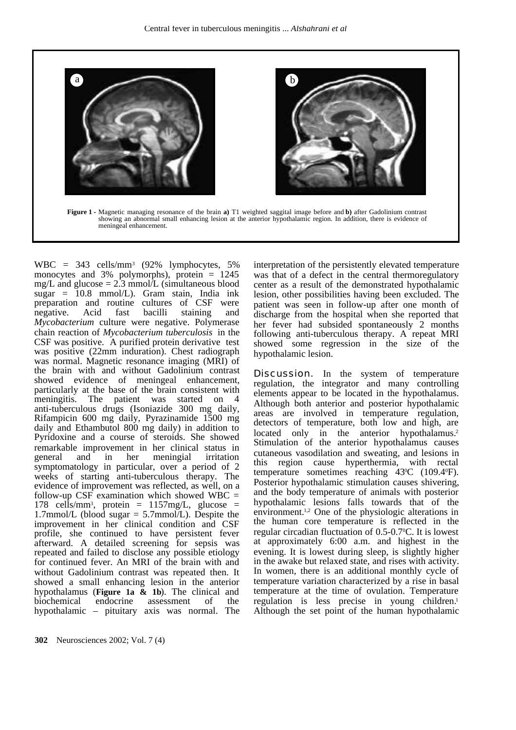

WBC = 343 cells/mm<sup>3</sup> (92% lymphocytes, 5% monocytes and  $3\%$  polymorphs), protein = 1245 mg/L and glucose  $= 2.3$  mmol/L (simultaneous blood  $sugar = 10.8$  mmol/L). Gram stain, India ink preparation and routine cultures of CSF were<br>negative. Acid fast bacilli staining and staining *Mycobacterium* culture were negative. Polymerase chain reaction of *Mycobacterium tuberculosis* in the CSF was positive. A purified protein derivative test was positive (22mm induration). Chest radiograph was normal. Magnetic resonance imaging (MRI) of the brain with and without Gadolinium contrast showed evidence of meningeal enhancement, particularly at the base of the brain consistent with meningitis. The patient was started on 4 anti-tuberculous drugs (Isoniazide 300 mg daily, Rifampicin 600 mg daily, Pyrazinamide 1500 mg daily and Ethambutol 800 mg daily) in addition to Pyridoxine and a course of steroids. She showed remarkable improvement in her clinical status in general and in her meningial irritation symptomatology in particular, over a period of 2 weeks of starting anti-tuberculous therapy. The evidence of improvement was reflected, as well, on a follow-up CSF examination which showed  $WBC =$ 178 cells/mm<sup>3</sup> , protein = 1157mg/L, glucose = 1.7mmol/L (blood sugar = 5.7mmol/L). Despite the improvement in her clinical condition and CSF profile, she continued to have persistent fever afterward. A detailed screening for sepsis was repeated and failed to disclose any possible etiology for continued fever. An MRI of the brain with and without Gadolinium contrast was repeated then. It showed a small enhancing lesion in the anterior hypothalamus (**Figure 1a & 1b**). The clinical and assessment hypothalamic – pituitary axis was normal. The

interpretation of the persistently elevated temperature was that of a defect in the central thermoregulatory center as a result of the demonstrated hypothalamic lesion, other possibilities having been excluded. The patient was seen in follow-up after one month of discharge from the hospital when she reported that her fever had subsided spontaneously 2 months following anti-tuberculous therapy. A repeat MRI showed some regression in the size of the hypothalamic lesion.

**Discussion.** In the system of temperature regulation, the integrator and many controlling elements appear to be located in the hypothalamus. Although both anterior and posterior hypothalamic areas are involved in temperature regulation, detectors of temperature, both low and high, are located only in the anterior hypothalamus.<sup>2</sup> Stimulation of the anterior hypothalamus causes cutaneous vasodilation and sweating, and lesions in this region cause hyperthermia, with rectal temperature sometimes reaching 43°C (109.4°F). Posterior hypothalamic stimulation causes shivering, and the body temperature of animals with posterior hypothalamic lesions falls towards that of the environment.1,2 One of the physiologic alterations in the human core temperature is reflected in the regular circadian fluctuation of 0.5-0.70C. It is lowest at approximately 6:00 a.m. and highest in the evening. It is lowest during sleep, is slightly higher in the awake but relaxed state, and rises with activity. In women, there is an additional monthly cycle of temperature variation characterized by a rise in basal temperature at the time of ovulation. Temperature regulation is less precise in young children.<sup>1</sup> Although the set point of the human hypothalamic